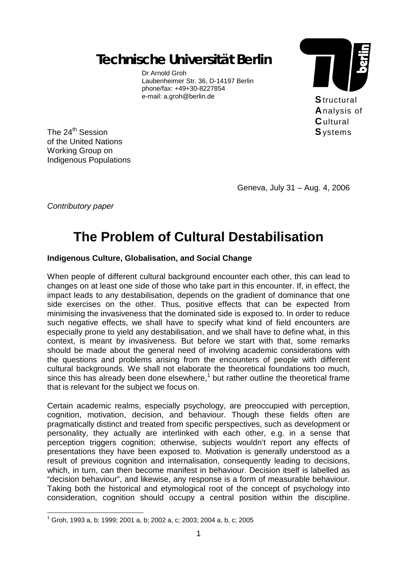*Technische Universität Berlin* 

Dr Arnold Groh Laubenheimer Str. 36, D-14197 Berlin phone/fax: +49+30-8227854 e-mail: a.groh@berlin.de



The 24<sup>th</sup> Session of the United Nations Working Group on Indigenous Populations

Geneva, July 31 – Aug. 4, 2006

*Contributory paper* 

 $\overline{a}$ 

# **The Problem of Cultural Destabilisation**

## **Indigenous Culture, Globalisation, and Social Change**

When people of different cultural background encounter each other, this can lead to changes on at least one side of those who take part in this encounter. If, in effect, the impact leads to any destabilisation, depends on the gradient of dominance that one side exercises on the other. Thus, positive effects that can be expected from minimising the invasiveness that the dominated side is exposed to. In order to reduce such negative effects, we shall have to specify what kind of field encounters are especially prone to yield any destabilisation, and we shall have to define what, in this context, is meant by invasiveness. But before we start with that, some remarks should be made about the general need of involving academic considerations with the questions and problems arising from the encounters of people with different cultural backgrounds. We shall not elaborate the theoretical foundations too much, since this has already been done elsewhere, $1$  but rather outline the theoretical frame that is relevant for the subject we focus on.

Certain academic realms, especially psychology, are preoccupied with perception, cognition, motivation, decision, and behaviour. Though these fields often are pragmatically distinct and treated from specific perspectives, such as development or personality, they actually are interlinked with each other, e.g. in a sense that perception triggers cognition; otherwise, subjects wouldn't report any effects of presentations they have been exposed to. Motivation is generally understood as a result of previous cognition and internalisation, consequently leading to decisions, which, in turn, can then become manifest in behaviour. Decision itself is labelled as "decision behaviour", and likewise, any response is a form of measurable behaviour. Taking both the historical and etymological root of the concept of psychology into consideration, cognition should occupy a central position within the discipline.

<sup>1</sup> Groh, 1993 a, b; 1999; 2001 a, b; 2002 a, c; 2003; 2004 a, b, c; 2005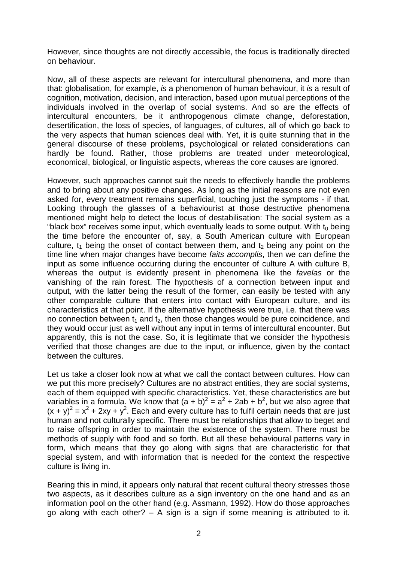However, since thoughts are not directly accessible, the focus is traditionally directed on behaviour.

Now, all of these aspects are relevant for intercultural phenomena, and more than that: globalisation, for example, *is* a phenomenon of human behaviour, it *is* a result of cognition, motivation, decision, and interaction, based upon mutual perceptions of the individuals involved in the overlap of social systems. And so are the effects of intercultural encounters, be it anthropogenous climate change, deforestation, desertification, the loss of species, of languages, of cultures, all of which go back to the very aspects that human sciences deal with. Yet, it is quite stunning that in the general discourse of these problems, psychological or related considerations can hardly be found. Rather, those problems are treated under meteorological, economical, biological, or linguistic aspects, whereas the core causes are ignored.

However, such approaches cannot suit the needs to effectively handle the problems and to bring about any positive changes. As long as the initial reasons are not even asked for, every treatment remains superficial, touching just the symptoms - if that. Looking through the glasses of a behaviourist at those destructive phenomena mentioned might help to detect the locus of destabilisation: The social system as a "black box" receives some input, which eventually leads to some output. With  $t_0$  being the time before the encounter of, say, a South American culture with European culture,  $t_1$  being the onset of contact between them, and  $t_2$  being any point on the time line when major changes have become *faits accomplis*, then we can define the input as some influence occurring during the encounter of culture A with culture B, whereas the output is evidently present in phenomena like the *favelas* or the vanishing of the rain forest. The hypothesis of a connection between input and output, with the latter being the result of the former, can easily be tested with any other comparable culture that enters into contact with European culture, and its characteristics at that point. If the alternative hypothesis were true, i.e. that there was no connection between  $t_1$  and  $t_2$ , then those changes would be pure coincidence, and they would occur just as well without any input in terms of intercultural encounter. But apparently, this is not the case. So, it is legitimate that we consider the hypothesis verified that those changes are due to the input, or influence, given by the contact between the cultures.

Let us take a closer look now at what we call the contact between cultures. How can we put this more precisely? Cultures are no abstract entities, they are social systems, each of them equipped with specific characteristics. Yet, these characteristics are but variables in a formula. We know that  $(a + b)^2 = a^2 + 2ab + b^2$ , but we also agree that  $(x + y)^2 = x^2 + 2xy + y^2$ . Each and every culture has to fulfil certain needs that are just human and not culturally specific. There must be relationships that allow to beget and to raise offspring in order to maintain the existence of the system. There must be methods of supply with food and so forth. But all these behavioural patterns vary in form, which means that they go along with signs that are characteristic for that special system, and with information that is needed for the context the respective culture is living in.

Bearing this in mind, it appears only natural that recent cultural theory stresses those two aspects, as it describes culture as a sign inventory on the one hand and as an information pool on the other hand (e.g. Assmann, 1992). How do those approaches go along with each other?  $-$  A sign is a sign if some meaning is attributed to it.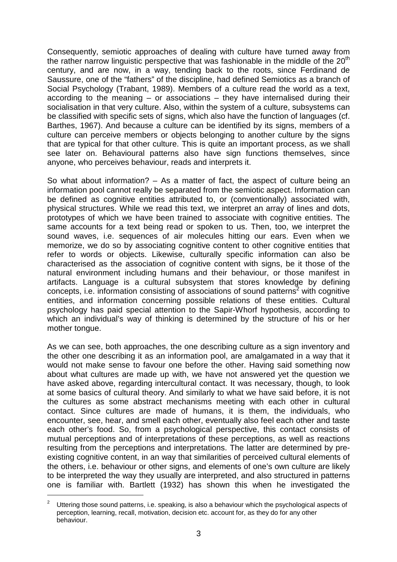Consequently, semiotic approaches of dealing with culture have turned away from the rather narrow linguistic perspective that was fashionable in the middle of the  $20<sup>th</sup>$ century, and are now, in a way, tending back to the roots, since Ferdinand de Saussure, one of the "fathers" of the discipline, had defined Semiotics as a branch of Social Psychology (Trabant, 1989). Members of a culture read the world as a text, according to the meaning – or associations – they have internalised during their socialisation in that very culture. Also, within the system of a culture, subsystems can be classified with specific sets of signs, which also have the function of languages (cf. Barthes, 1967). And because a culture can be identified by its signs, members of a culture can perceive members or objects belonging to another culture by the signs that are typical for that other culture. This is quite an important process, as we shall see later on. Behavioural patterns also have sign functions themselves, since anyone, who perceives behaviour, reads and interprets it.

So what about information? – As a matter of fact, the aspect of culture being an information pool cannot really be separated from the semiotic aspect. Information can be defined as cognitive entities attributed to, or (conventionally) associated with, physical structures. While we read this text, we interpret an array of lines and dots, prototypes of which we have been trained to associate with cognitive entities. The same accounts for a text being read or spoken to us. Then, too, we interpret the sound waves, i.e. sequences of air molecules hitting our ears. Even when we memorize, we do so by associating cognitive content to other cognitive entities that refer to words or objects. Likewise, culturally specific information can also be characterised as the association of cognitive content with signs, be it those of the natural environment including humans and their behaviour, or those manifest in artifacts. Language is a cultural subsystem that stores knowledge by defining concepts, i.e. information consisting of associations of sound patterns<sup>2</sup> with cognitive entities, and information concerning possible relations of these entities. Cultural psychology has paid special attention to the Sapir-Whorf hypothesis, according to which an individual's way of thinking is determined by the structure of his or her mother tongue.

As we can see, both approaches, the one describing culture as a sign inventory and the other one describing it as an information pool, are amalgamated in a way that it would not make sense to favour one before the other. Having said something now about what cultures are made up with, we have not answered yet the question we have asked above, regarding intercultural contact. It was necessary, though, to look at some basics of cultural theory. And similarly to what we have said before, it is not the cultures as some abstract mechanisms meeting with each other in cultural contact. Since cultures are made of humans, it is them, the individuals, who encounter, see, hear, and smell each other, eventually also feel each other and taste each other's food. So, from a psychological perspective, this contact consists of mutual perceptions and of interpretations of these perceptions, as well as reactions resulting from the perceptions and interpretations. The latter are determined by preexisting cognitive content, in an way that similarities of perceived cultural elements of the others, i.e. behaviour or other signs, and elements of one's own culture are likely to be interpreted the way they usually are interpreted, and also structured in patterns one is familiar with. Bartlett (1932) has shown this when he investigated the

 $\overline{a}$ 

<sup>2</sup> Uttering those sound patterns, i.e. speaking, is also a behaviour which the psychological aspects of perception, learning, recall, motivation, decision etc. account for, as they do for any other behaviour.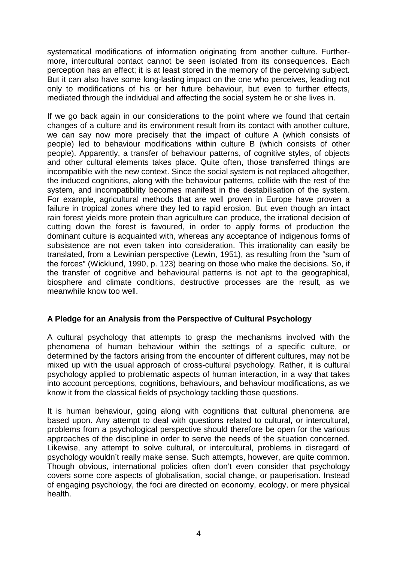systematical modifications of information originating from another culture. Furthermore, intercultural contact cannot be seen isolated from its consequences. Each perception has an effect; it is at least stored in the memory of the perceiving subject. But it can also have some long-lasting impact on the one who perceives, leading not only to modifications of his or her future behaviour, but even to further effects, mediated through the individual and affecting the social system he or she lives in.

If we go back again in our considerations to the point where we found that certain changes of a culture and its environment result from its contact with another culture, we can say now more precisely that the impact of culture A (which consists of people) led to behaviour modifications within culture B (which consists of other people). Apparently, a transfer of behaviour patterns, of cognitive styles, of objects and other cultural elements takes place. Quite often, those transferred things are incompatible with the new context. Since the social system is not replaced altogether, the induced cognitions, along with the behaviour patterns, collide with the rest of the system, and incompatibility becomes manifest in the destabilisation of the system. For example, agricultural methods that are well proven in Europe have proven a failure in tropical zones where they led to rapid erosion. But even though an intact rain forest yields more protein than agriculture can produce, the irrational decision of cutting down the forest is favoured, in order to apply forms of production the dominant culture is acquainted with, whereas any acceptance of indigenous forms of subsistence are not even taken into consideration. This irrationality can easily be translated, from a Lewinian perspective (Lewin, 1951), as resulting from the "sum of the forces" (Wicklund, 1990, p. 123) bearing on those who make the decisions. So, if the transfer of cognitive and behavioural patterns is not apt to the geographical, biosphere and climate conditions, destructive processes are the result, as we meanwhile know too well.

## **A Pledge for an Analysis from the Perspective of Cultural Psychology**

A cultural psychology that attempts to grasp the mechanisms involved with the phenomena of human behaviour within the settings of a specific culture, or determined by the factors arising from the encounter of different cultures, may not be mixed up with the usual approach of cross-cultural psychology. Rather, it is cultural psychology applied to problematic aspects of human interaction, in a way that takes into account perceptions, cognitions, behaviours, and behaviour modifications, as we know it from the classical fields of psychology tackling those questions.

It is human behaviour, going along with cognitions that cultural phenomena are based upon. Any attempt to deal with questions related to cultural, or intercultural, problems from a psychological perspective should therefore be open for the various approaches of the discipline in order to serve the needs of the situation concerned. Likewise, any attempt to solve cultural, or intercultural, problems in disregard of psychology wouldn't really make sense. Such attempts, however, are quite common. Though obvious, international policies often don't even consider that psychology covers some core aspects of globalisation, social change, or pauperisation. Instead of engaging psychology, the foci are directed on economy, ecology, or mere physical health.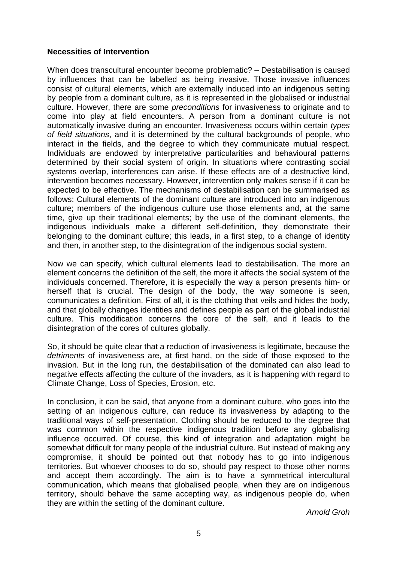### **Necessities of Intervention**

When does transcultural encounter become problematic? – Destabilisation is caused by influences that can be labelled as being invasive. Those invasive influences consist of cultural elements, which are externally induced into an indigenous setting by people from a dominant culture, as it is represented in the globalised or industrial culture. However, there are some *preconditions* for invasiveness to originate and to come into play at field encounters. A person from a dominant culture is not automatically invasive during an encounter. Invasiveness occurs within certain *types of field situations*, and it is determined by the cultural backgrounds of people, who interact in the fields, and the degree to which they communicate mutual respect. Individuals are endowed by interpretative particularities and behavioural patterns determined by their social system of origin. In situations where contrasting social systems overlap, interferences can arise. If these effects are of a destructive kind, intervention becomes necessary. However, intervention only makes sense if it can be expected to be effective. The mechanisms of destabilisation can be summarised as follows: Cultural elements of the dominant culture are introduced into an indigenous culture; members of the indigenous culture use those elements and, at the same time, give up their traditional elements; by the use of the dominant elements, the indigenous individuals make a different self-definition, they demonstrate their belonging to the dominant culture; this leads, in a first step, to a change of identity and then, in another step, to the disintegration of the indigenous social system.

Now we can specify, which cultural elements lead to destabilisation. The more an element concerns the definition of the self, the more it affects the social system of the individuals concerned. Therefore, it is especially the way a person presents him- or herself that is crucial. The design of the body, the way someone is seen, communicates a definition. First of all, it is the clothing that veils and hides the body, and that globally changes identities and defines people as part of the global industrial culture. This modification concerns the core of the self, and it leads to the disintegration of the cores of cultures globally.

So, it should be quite clear that a reduction of invasiveness is legitimate, because the *detriments* of invasiveness are, at first hand, on the side of those exposed to the invasion. But in the long run, the destabilisation of the dominated can also lead to negative effects affecting the culture of the invaders, as it is happening with regard to Climate Change, Loss of Species, Erosion, etc.

In conclusion, it can be said, that anyone from a dominant culture, who goes into the setting of an indigenous culture, can reduce its invasiveness by adapting to the traditional ways of self-presentation. Clothing should be reduced to the degree that was common within the respective indigenous tradition before any globalising influence occurred. Of course, this kind of integration and adaptation might be somewhat difficult for many people of the industrial culture. But instead of making any compromise, it should be pointed out that nobody has to go into indigenous territories. But whoever chooses to do so, should pay respect to those other norms and accept them accordingly. The aim is to have a symmetrical intercultural communication, which means that globalised people, when they are on indigenous territory, should behave the same accepting way, as indigenous people do, when they are within the setting of the dominant culture.

*Arnold Groh*